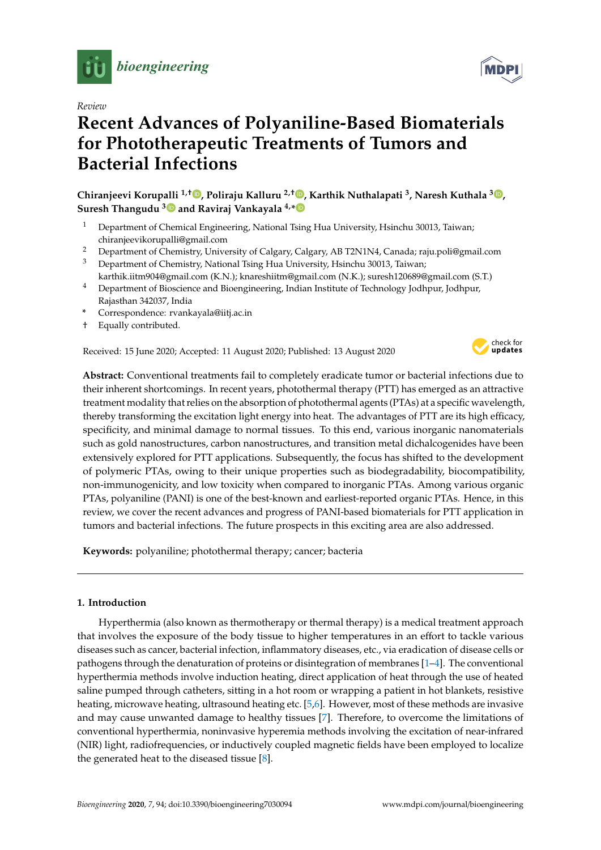

*Review*

# **Recent Advances of Polyaniline-Based Biomaterials for Phototherapeutic Treatments of Tumors and Bacterial Infections**

**Chiranjeevi Korupalli 1,**† **, Poliraju Kalluru 2,**† **, Karthik Nuthalapati <sup>3</sup> , Naresh Kuthala <sup>3</sup> , Suresh Thangudu <sup>3</sup> and Raviraj Vankayala 4,\***

- <sup>1</sup> Department of Chemical Engineering, National Tsing Hua University, Hsinchu 30013, Taiwan; chiranjeevikorupalli@gmail.com
- <sup>2</sup> Department of Chemistry, University of Calgary, Calgary, AB T2N1N4, Canada; raju.poli@gmail.com
- <sup>3</sup> Department of Chemistry, National Tsing Hua University, Hsinchu 30013, Taiwan; karthik.iitm904@gmail.com (K.N.); knareshiitm@gmail.com (N.K.); suresh120689@gmail.com (S.T.)
- <sup>4</sup> Department of Bioscience and Bioengineering, Indian Institute of Technology Jodhpur, Jodhpur, Rajasthan 342037, India
- **\*** Correspondence: rvankayala@iitj.ac.in
- † Equally contributed.

Received: 15 June 2020; Accepted: 11 August 2020; Published: 13 August 2020



**Abstract:** Conventional treatments fail to completely eradicate tumor or bacterial infections due to their inherent shortcomings. In recent years, photothermal therapy (PTT) has emerged as an attractive treatment modality that relies on the absorption of photothermal agents (PTAs) at a specific wavelength, thereby transforming the excitation light energy into heat. The advantages of PTT are its high efficacy, specificity, and minimal damage to normal tissues. To this end, various inorganic nanomaterials such as gold nanostructures, carbon nanostructures, and transition metal dichalcogenides have been extensively explored for PTT applications. Subsequently, the focus has shifted to the development of polymeric PTAs, owing to their unique properties such as biodegradability, biocompatibility, non-immunogenicity, and low toxicity when compared to inorganic PTAs. Among various organic PTAs, polyaniline (PANI) is one of the best-known and earliest-reported organic PTAs. Hence, in this review, we cover the recent advances and progress of PANI-based biomaterials for PTT application in tumors and bacterial infections. The future prospects in this exciting area are also addressed.

**Keywords:** polyaniline; photothermal therapy; cancer; bacteria

# **1. Introduction**

Hyperthermia (also known as thermotherapy or thermal therapy) is a medical treatment approach that involves the exposure of the body tissue to higher temperatures in an effort to tackle various diseases such as cancer, bacterial infection, inflammatory diseases, etc., via eradication of disease cells or pathogens through the denaturation of proteins or disintegration of membranes [1–4]. The conventional hyperthermia methods involve induction heating, direct application of heat through the use of heated saline pumped through catheters, sitting in a hot room or wrapping a patient in hot blankets, resistive heating, microwave heating, ultrasound heating etc. [5,6]. However, most of these methods are invasive and may cause unwanted damage to healthy tissues [7]. Therefore, to overcome the limitations of conventional hyperthermia, noninvasive hyperemia methods involving the excitation of near-infrared (NIR) light, radiofrequencies, or inductively coupled magnetic fields have been employed to localize the generated heat to the diseased tissue [8].

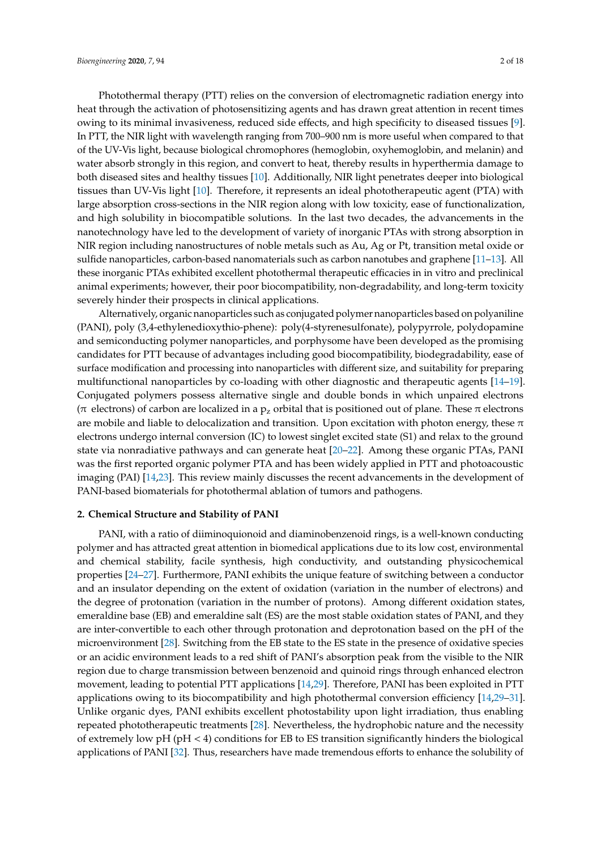Photothermal therapy (PTT) relies on the conversion of electromagnetic radiation energy into heat through the activation of photosensitizing agents and has drawn great attention in recent times owing to its minimal invasiveness, reduced side effects, and high specificity to diseased tissues [9]. In PTT, the NIR light with wavelength ranging from 700–900 nm is more useful when compared to that of the UV-Vis light, because biological chromophores (hemoglobin, oxyhemoglobin, and melanin) and water absorb strongly in this region, and convert to heat, thereby results in hyperthermia damage to both diseased sites and healthy tissues [10]. Additionally, NIR light penetrates deeper into biological tissues than UV-Vis light [10]. Therefore, it represents an ideal phototherapeutic agent (PTA) with large absorption cross-sections in the NIR region along with low toxicity, ease of functionalization, and high solubility in biocompatible solutions. In the last two decades, the advancements in the nanotechnology have led to the development of variety of inorganic PTAs with strong absorption in NIR region including nanostructures of noble metals such as Au, Ag or Pt, transition metal oxide or sulfide nanoparticles, carbon-based nanomaterials such as carbon nanotubes and graphene [11–13]. All these inorganic PTAs exhibited excellent photothermal therapeutic efficacies in in vitro and preclinical animal experiments; however, their poor biocompatibility, non-degradability, and long-term toxicity severely hinder their prospects in clinical applications.

Alternatively, organic nanoparticles such as conjugated polymer nanoparticles based on polyaniline (PANI), poly (3,4-ethylenedioxythio-phene): poly(4-styrenesulfonate), polypyrrole, polydopamine and semiconducting polymer nanoparticles, and porphysome have been developed as the promising candidates for PTT because of advantages including good biocompatibility, biodegradability, ease of surface modification and processing into nanoparticles with different size, and suitability for preparing multifunctional nanoparticles by co-loading with other diagnostic and therapeutic agents [14–19]. Conjugated polymers possess alternative single and double bonds in which unpaired electrons ( $\pi$  electrons) of carbon are localized in a  $p_z$  orbital that is positioned out of plane. These  $\pi$  electrons are mobile and liable to delocalization and transition. Upon excitation with photon energy, these  $\pi$ electrons undergo internal conversion (IC) to lowest singlet excited state (S1) and relax to the ground state via nonradiative pathways and can generate heat [20–22]. Among these organic PTAs, PANI was the first reported organic polymer PTA and has been widely applied in PTT and photoacoustic imaging (PAI) [14,23]. This review mainly discusses the recent advancements in the development of PANI-based biomaterials for photothermal ablation of tumors and pathogens.

## **2. Chemical Structure and Stability of PANI**

PANI, with a ratio of diiminoquionoid and diaminobenzenoid rings, is a well-known conducting polymer and has attracted great attention in biomedical applications due to its low cost, environmental and chemical stability, facile synthesis, high conductivity, and outstanding physicochemical properties [24–27]. Furthermore, PANI exhibits the unique feature of switching between a conductor and an insulator depending on the extent of oxidation (variation in the number of electrons) and the degree of protonation (variation in the number of protons). Among different oxidation states, emeraldine base (EB) and emeraldine salt (ES) are the most stable oxidation states of PANI, and they are inter-convertible to each other through protonation and deprotonation based on the pH of the microenvironment [28]. Switching from the EB state to the ES state in the presence of oxidative species or an acidic environment leads to a red shift of PANI's absorption peak from the visible to the NIR region due to charge transmission between benzenoid and quinoid rings through enhanced electron movement, leading to potential PTT applications [14,29]. Therefore, PANI has been exploited in PTT applications owing to its biocompatibility and high photothermal conversion efficiency [14,29–31]. Unlike organic dyes, PANI exhibits excellent photostability upon light irradiation, thus enabling repeated phototherapeutic treatments [28]. Nevertheless, the hydrophobic nature and the necessity of extremely low pH (pH  $<$  4) conditions for EB to ES transition significantly hinders the biological applications of PANI [32]. Thus, researchers have made tremendous efforts to enhance the solubility of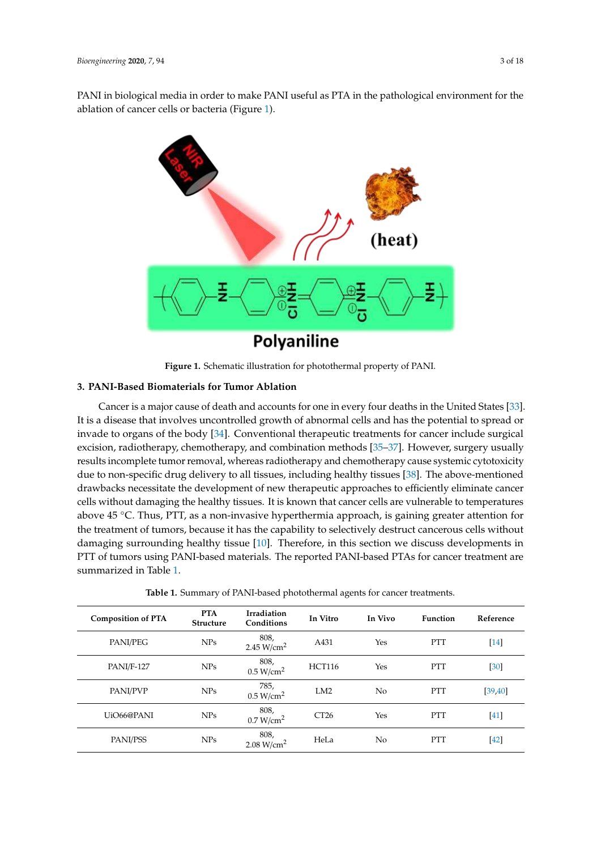PANI in biological media in order to make PANI useful as PTA in the pathological environment for the ablation of cancer cells or bacteria (Figure 1).



**Figure 1.** Schematic illustration for photothermal property of PANI.

# **3. PANI-Based Biomaterials for Tumor Ablation**

– results incomplete tumor removal, whereas radiotherapy and chemotherapy cause systemic cytotoxicity Cancer is a major cause of death and accounts for one in every four deaths in the United States [33]. It is a disease that involves uncontrolled growth of abnormal cells and has the potential to spread or invade to organs of the body [34]. Conventional therapeutic treatments for cancer include surgical excision, radiotherapy, chemotherapy, and combination methods [35–37]. However, surgery usually due to non-specific drug delivery to all tissues, including healthy tissues [38]. The above-mentioned drawbacks necessitate the development of new therapeutic approaches to efficiently eliminate cancer cells without damaging the healthy tissues. It is known that cancer cells are vulnerable to temperatures above 45 ◦C. Thus, PTT, as a non-invasive hyperthermia approach, is gaining greater attention for the treatment of tumors, because it has the capability to selectively destruct cancerous cells without damaging surrounding healthy tissue [10]. Therefore, in this section we discuss developments in PTT of tumors using PANI-based materials. The reported PANI-based PTAs for cancer treatment are summarized in Table 1.

|  | Table 1. Summary of PANI-based photothermal agents for cancer treatments. |  |  |
|--|---------------------------------------------------------------------------|--|--|
|  |                                                                           |  |  |

| <b>Composition of PTA</b> | <b>PTA</b><br><b>Structure</b> | Irradiation<br>Conditions      | In Vitro      | In Vivo        | <b>Function</b> | Reference |
|---------------------------|--------------------------------|--------------------------------|---------------|----------------|-----------------|-----------|
| PANI/PEG                  | NPs                            | 808,<br>2.45 $W/cm2$           | A431          | Yes            | <b>PTT</b>      | $[14]$    |
| <b>PANI/F-127</b>         | NPs                            | 808,<br>0.5 W/cm <sup>2</sup>  | <b>HCT116</b> | Yes            | <b>PTT</b>      | [30]      |
| <b>PANI/PVP</b>           | NPs                            | 785,<br>0.5 W/cm <sup>2</sup>  | LM2           | N <sub>o</sub> | <b>PTT</b>      | [39, 40]  |
| UiO66@PANI                | <b>NPs</b>                     | 808,<br>0.7 W/cm <sup>2</sup>  | CT26          | Yes            | <b>PTT</b>      | $[41]$    |
| PANI/PSS                  | NPs                            | 808,<br>2.08 W/cm <sup>2</sup> | HeLa          | N <sub>o</sub> | <b>PTT</b>      | $[42]$    |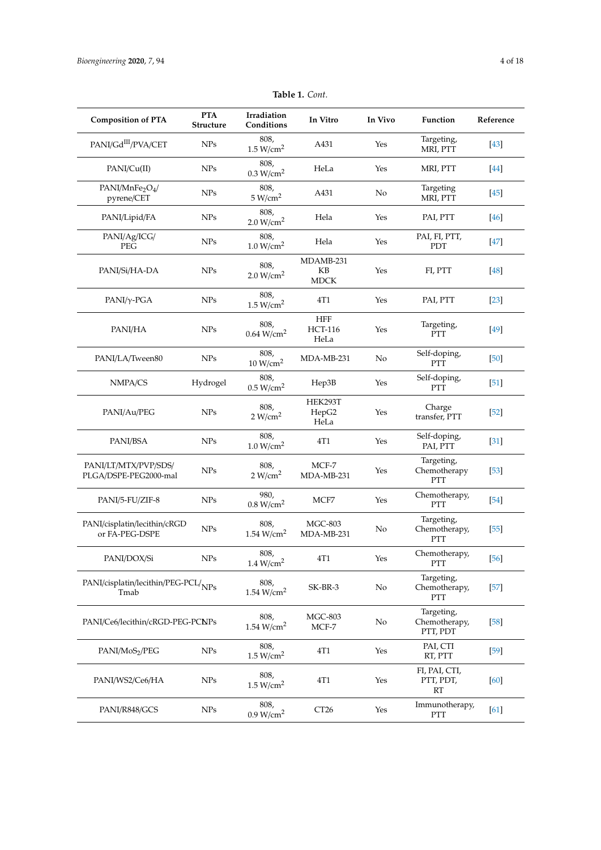| <b>Composition of PTA</b>                             | <b>PTA</b><br><b>Structure</b> | Irradiation<br>Conditions      | In Vitro                             | In Vivo | Function                                  | Reference |
|-------------------------------------------------------|--------------------------------|--------------------------------|--------------------------------------|---------|-------------------------------------------|-----------|
| PANI/Gd <sup>III</sup> /PVA/CET                       | <b>NPs</b>                     | 808,<br>1.5 W/cm <sup>2</sup>  | A431                                 | Yes     | Targeting,<br>MRI, PTT                    | $[43]$    |
| PANI/Cu(II)                                           | <b>NPs</b>                     | 808,<br>0.3 W/cm <sup>2</sup>  | HeLa                                 | Yes     | MRI, PTT                                  | [44]      |
| PANI/MnFe <sub>2</sub> O <sub>4</sub> /<br>pyrene/CET | <b>NPs</b>                     | 808,<br>5 W/cm <sup>2</sup>    | A431                                 | No      | Targeting<br>MRI, PTT                     | [45]      |
| PANI/Lipid/FA                                         | <b>NPs</b>                     | 808,<br>2.0 W/cm <sup>2</sup>  | Hela                                 | Yes     | PAI, PTT                                  | [46]      |
| PANI/Ag/ICG/<br>PEG                                   | <b>NPs</b>                     | 808,<br>1.0 W/cm <sup>2</sup>  | Hela                                 | Yes     | PAI, FI, PTT,<br>PDT                      | [47]      |
| PANI/Si/HA-DA                                         | <b>NPs</b>                     | 808,<br>2.0 W/cm <sup>2</sup>  | MDAMB-231<br>KB<br><b>MDCK</b>       | Yes     | FI, PTT                                   | [48]      |
| $PANI/\gamma$ -PGA                                    | <b>NPs</b>                     | 808,<br>1.5 W/cm <sup>2</sup>  | 4T1                                  | Yes     | PAI, PTT                                  | $[23]$    |
| PANI/HA                                               | <b>NPs</b>                     | 808,<br>$0.64 \text{ W/cm}^2$  | <b>HFF</b><br><b>HCT-116</b><br>HeLa | Yes     | Targeting,<br><b>PTT</b>                  | $[49]$    |
| PANI/LA/Tween80                                       | <b>NPs</b>                     | 808,<br>10 W/cm <sup>2</sup>   | MDA-MB-231                           | No      | Self-doping,<br><b>PTT</b>                | $[50]$    |
| NMPA/CS                                               | Hydrogel                       | 808,<br>0.5 W/cm <sup>2</sup>  | Hep3B                                | Yes     | Self-doping,<br><b>PTT</b>                | $[51]$    |
| PANI/Au/PEG                                           | <b>NPs</b>                     | 808,<br>2 W/cm <sup>2</sup>    | HEK293T<br>HepG2<br>HeLa             | Yes     | Charge<br>transfer, PTT                   | $[52]$    |
| PANI/BSA                                              | <b>NPs</b>                     | 808,<br>1.0 W/cm <sup>2</sup>  | 4T1                                  | Yes     | Self-doping,<br>PAI, PTT                  | $[31]$    |
| PANI/LT/MTX/PVP/SDS/<br>PLGA/DSPE-PEG2000-mal         | <b>NPs</b>                     | 808,<br>2 W/cm <sup>2</sup>    | MCF-7<br>MDA-MB-231                  | Yes     | Targeting,<br>Chemotherapy<br>PTT         | $[53]$    |
| PANI/5-FU/ZIF-8                                       | <b>NPs</b>                     | 980,<br>0.8 W/cm <sup>2</sup>  | MCF7                                 | Yes     | Chemotherapy,<br>PTT                      | $[54]$    |
| PANI/cisplatin/lecithin/cRGD<br>or FA-PEG-DSPE        | <b>NPs</b>                     | 808,<br>1.54 W/cm <sup>2</sup> | <b>MGC-803</b><br>MDA-MB-231         | No      | Targeting,<br>Chemotherapy,<br>PTT        | $[55]$    |
| PANI/DOX/Si                                           | <b>NPs</b>                     | 808,<br>1.4 W/cm <sup>2</sup>  | 4T1                                  | Yes     | Chemotherapy,<br>PTT                      | [56]      |
| PANI/cisplatin/lecithin/PEG-PCL/NPs<br>Tmab           |                                | 808,<br>1.54 W/cm <sup>2</sup> | SK-BR-3                              | No      | Targeting,<br>Chemotherapy,<br><b>PTT</b> | $[57]$    |
| PANI/Ce6/lecithin/cRGD-PEG-PCNPs                      |                                | 808,<br>1.54 $W/cm2$           | MGC-803<br>MCF-7                     | No      | Targeting,<br>Chemotherapy,<br>PTT, PDT   | $[58]$    |
| PANI/MoS2/PEG                                         | ${\rm NPs}$                    | 808,<br>1.5 W/cm <sup>2</sup>  | 4T1                                  | Yes     | PAI, CTI<br>RT, PTT                       | $[59]$    |
| PANI/WS2/Ce6/HA                                       | <b>NPs</b>                     | 808,<br>1.5 W/cm <sup>2</sup>  | 4T1                                  | Yes     | FI, PAI, CTI,<br>PTT, PDT,<br><b>RT</b>   | [60]      |
| PANI/R848/GCS                                         | <b>NPs</b>                     | 808,<br>0.9 W/cm <sup>2</sup>  | CT <sub>26</sub>                     | Yes     | Immunotherapy,<br>PTT                     | [61]      |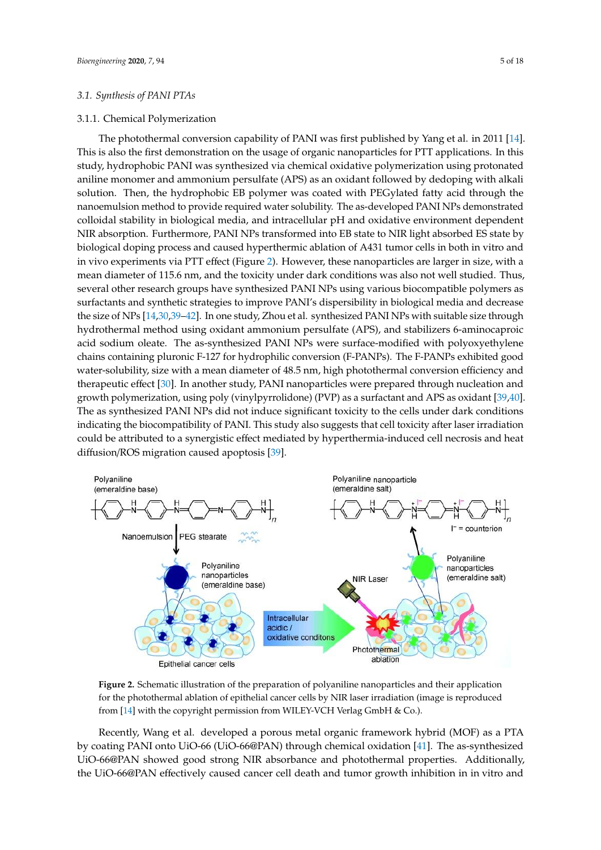# *3.1. Synthesis of PANI PTAs*

# 3.1.1. Chemical Polymerization

The photothermal conversion capability of PANI was first published by Yang et al. in 2011 [14]. This is also the first demonstration on the usage of organic nanoparticles for PTT applications. In this study, hydrophobic PANI was synthesized via chemical oxidative polymerization using protonated aniline monomer and ammonium persulfate (APS) as an oxidant followed by dedoping with alkali solution. Then, the hydrophobic EB polymer was coated with PEGylated fatty acid through the nanoemulsion method to provide required water solubility. The as-developed PANI NPs demonstrated colloidal stability in biological media, and intracellular pH and oxidative environment dependent NIR absorption. Furthermore, PANI NPs transformed into EB state to NIR light absorbed ES state by biological doping process and caused hyperthermic ablation of A431 tumor cells in both in vitro and in vivo experiments via PTT effect (Figure 2). However, these nanoparticles are larger in size, with a mean diameter of 115.6 nm, and the toxicity under dark conditions was also not well studied. Thus, several other research groups have synthesized PANI NPs using various biocompatible polymers as surfact to improve PANI's dispersed PANI NPs using various biocompatible polymers as surfactants and synthetic strategies to improve PANI's dispersibility in biological media and decrease – the size of NPs [14,30,39–42]. In one study, Zhou et al. synthesized PANI NPs with suitable size through hydrothermal method using oxidant ammonium persulfate (APS), and stabilizers 6-aminocaproic acid sodium oleate. The as-synthesized PANI NPs were surface-modified with polyoxyethylene chains containing pluronic F-127 for hydrophilic conversion (F-PANPs). The F-PANPs exhibited good water-solubility, size with a mean diameter of 48.5 nm, high photothermal conversion efficiency and therapeutic effect [30]. In another study, PANI nanoparticles were prepared through nucleation and growth polymerization, using poly (vinylpyrrolidone) (PVP) as a surfactant and APS as oxidant [39,40]. The as synthesized PANI NPs did not induce significant toxicity to the cells under dark conditions indicating the biocompatibility of PANI. This study also suggests that cell toxicity after laser irradiation could be attributed to a synergistic effect mediated by hyperthermia-induced cell necrosis and heat diffusion/ROS migration caused apoptosis [39].



**Figure 2.** Schematic illustration of the preparation of polyaniline nanoparticles and their application for the photothermal ablation of epithelial cancer cells by NIR laser irradiation (image is reproduced from [14] with the copyright permission from WILEY-VCH Verlag GmbH & Co.).

Recently, Wang et al. developed a porous metal organic framework hybrid (MOF) as a PTA by coating PANI onto UiO-66 (UiO-66@PAN) through chemical oxidation [41]. The as-synthesized UiO-66@PAN showed good strong NIR absorbance and photothermal properties. Additionally, the UiO-66@PAN effectively caused cancer cell death and tumor growth inhibition in in vitro and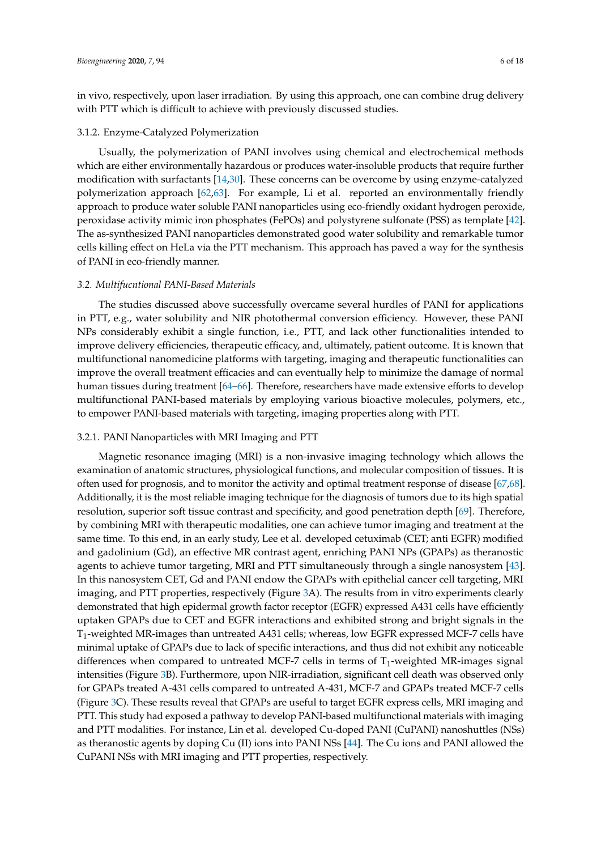in vivo, respectively, upon laser irradiation. By using this approach, one can combine drug delivery with PTT which is difficult to achieve with previously discussed studies.

# 3.1.2. Enzyme-Catalyzed Polymerization

Usually, the polymerization of PANI involves using chemical and electrochemical methods which are either environmentally hazardous or produces water-insoluble products that require further modification with surfactants [14,30]. These concerns can be overcome by using enzyme-catalyzed polymerization approach [62,63]. For example, Li et al. reported an environmentally friendly approach to produce water soluble PANI nanoparticles using eco-friendly oxidant hydrogen peroxide, peroxidase activity mimic iron phosphates (FePOs) and polystyrene sulfonate (PSS) as template [42]. The as-synthesized PANI nanoparticles demonstrated good water solubility and remarkable tumor cells killing effect on HeLa via the PTT mechanism. This approach has paved a way for the synthesis of PANI in eco-friendly manner.

#### *3.2. Multifucntional PANI-Based Materials*

The studies discussed above successfully overcame several hurdles of PANI for applications in PTT, e.g., water solubility and NIR photothermal conversion efficiency. However, these PANI NPs considerably exhibit a single function, i.e., PTT, and lack other functionalities intended to improve delivery efficiencies, therapeutic efficacy, and, ultimately, patient outcome. It is known that multifunctional nanomedicine platforms with targeting, imaging and therapeutic functionalities can improve the overall treatment efficacies and can eventually help to minimize the damage of normal human tissues during treatment [64–66]. Therefore, researchers have made extensive efforts to develop multifunctional PANI-based materials by employing various bioactive molecules, polymers, etc., to empower PANI-based materials with targeting, imaging properties along with PTT.

# 3.2.1. PANI Nanoparticles with MRI Imaging and PTT

Magnetic resonance imaging (MRI) is a non-invasive imaging technology which allows the examination of anatomic structures, physiological functions, and molecular composition of tissues. It is often used for prognosis, and to monitor the activity and optimal treatment response of disease [67,68]. Additionally, it is the most reliable imaging technique for the diagnosis of tumors due to its high spatial resolution, superior soft tissue contrast and specificity, and good penetration depth [69]. Therefore, by combining MRI with therapeutic modalities, one can achieve tumor imaging and treatment at the same time. To this end, in an early study, Lee et al. developed cetuximab (CET; anti EGFR) modified and gadolinium (Gd), an effective MR contrast agent, enriching PANI NPs (GPAPs) as theranostic agents to achieve tumor targeting, MRI and PTT simultaneously through a single nanosystem [43]. In this nanosystem CET, Gd and PANI endow the GPAPs with epithelial cancer cell targeting, MRI imaging, and PTT properties, respectively (Figure 3A). The results from in vitro experiments clearly demonstrated that high epidermal growth factor receptor (EGFR) expressed A431 cells have efficiently uptaken GPAPs due to CET and EGFR interactions and exhibited strong and bright signals in the T1-weighted MR-images than untreated A431 cells; whereas, low EGFR expressed MCF-7 cells have minimal uptake of GPAPs due to lack of specific interactions, and thus did not exhibit any noticeable differences when compared to untreated MCF-7 cells in terms of  $T_1$ -weighted MR-images signal intensities (Figure 3B). Furthermore, upon NIR-irradiation, significant cell death was observed only for GPAPs treated A-431 cells compared to untreated A-431, MCF-7 and GPAPs treated MCF-7 cells (Figure 3C). These results reveal that GPAPs are useful to target EGFR express cells, MRI imaging and PTT. This study had exposed a pathway to develop PANI-based multifunctional materials with imaging and PTT modalities. For instance, Lin et al. developed Cu-doped PANI (CuPANI) nanoshuttles (NSs) as theranostic agents by doping Cu (II) ions into PANI NSs [44]. The Cu ions and PANI allowed the CuPANI NSs with MRI imaging and PTT properties, respectively.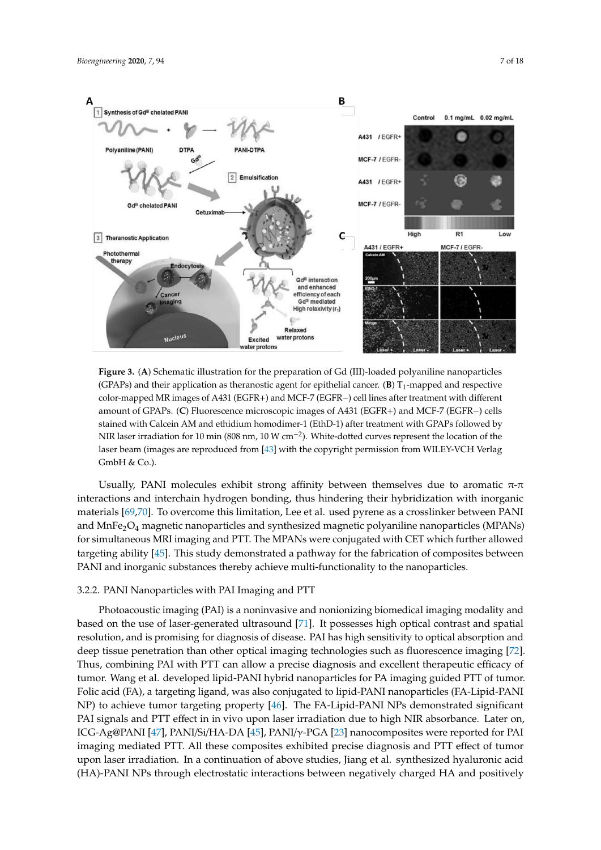

− color-mapped MR images of A431 (EGFR+) and MCF-7 (EGFR−) cell lines after treatment with different stained with Calcein AM and ethidium homodimer-1 (EthD-1) after treatment with GPAPs followed by − NIR laser irradiation for 10 min (808 nm, 10 W cm−<sup>2</sup> ). White-dotted curves represent the location of the **Figure 3.** (**A**) Schematic illustration for the preparation of Gd (III)-loaded polyaniline nanoparticles (GPAPs) and their application as theranostic agent for epithelial cancer.  $(B) T_1$ -mapped and respective amount of GPAPs. (**C**) Fluorescence microscopic images of A431 (EGFR+) and MCF-7 (EGFR−) cells laser beam (images are reproduced from [43] with the copyright permission from WILEY-VCH Verlag GmbH & Co.).

Usually, PANI molecules exhibit strong affinity between themselves due to aromatic  $\pi$ - $\pi$ interactions and interchain hydrogen bonding, thus hindering their hybridization with inorganic materials [69,70]. To overcome this limitation, Lee et al. used pyrene as a crosslinker between PANI and MnFe2O<sup>4</sup> magnetic nanoparticles and synthesized magnetic polyaniline nanoparticles (MPANs) for simultaneous MRI imaging and PTT. The MPANs were conjugated with CET which further allowed targeting ability [45]. This study demonstrated a pathway for the fabrication of composites between PANI and inorganic substances thereby achieve multi-functionality to the nanoparticles.

#### 3.2.2. PANI Nanoparticles with PAI Imaging and PTT

ICG-Ag@PANI [47], PANI/Si/HA-DA [45], PANI/γ-PGA [23] nanocomposites were reported for PAI Photoacoustic imaging (PAI) is a noninvasive and nonionizing biomedical imaging modality and based on the use of laser-generated ultrasound [71]. It possesses high optical contrast and spatial resolution, and is promising for diagnosis of disease. PAI has high sensitivity to optical absorption and deep tissue penetration than other optical imaging technologies such as fluorescence imaging [72]. Thus, combining PAI with PTT can allow a precise diagnosis and excellent therapeutic efficacy of tumor. Wang et al. developed lipid-PANI hybrid nanoparticles for PA imaging guided PTT of tumor. Folic acid (FA), a targeting ligand, was also conjugated to lipid-PANI nanoparticles (FA-Lipid-PANI NP) to achieve tumor targeting property [46]. The FA-Lipid-PANI NPs demonstrated significant PAI signals and PTT effect in in vivo upon laser irradiation due to high NIR absorbance. Later on, imaging mediated PTT. All these composites exhibited precise diagnosis and PTT effect of tumor upon laser irradiation. In a continuation of above studies, Jiang et al. synthesized hyaluronic acid (HA)-PANI NPs through electrostatic interactions between negatively charged HA and positively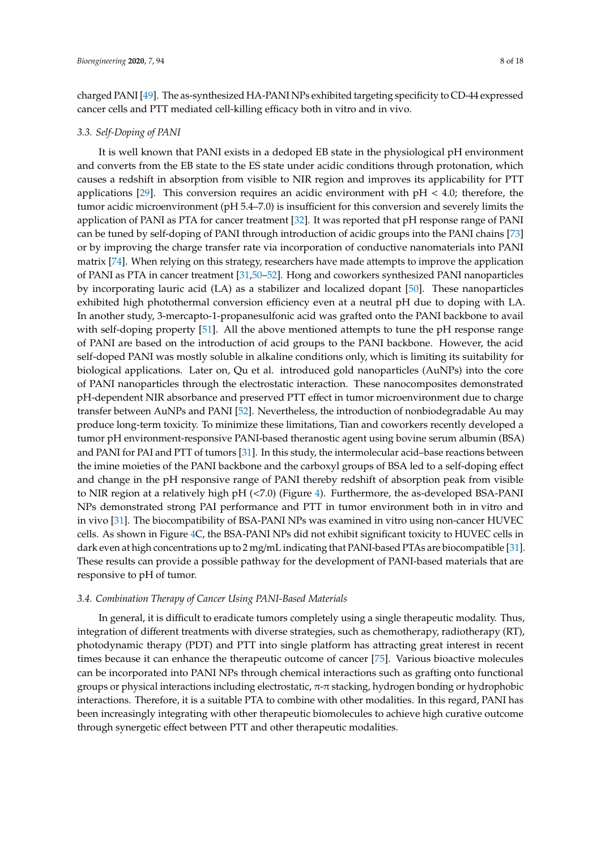charged PANI [49]. The as-synthesized HA-PANI NPs exhibited targeting specificity to CD-44 expressed cancer cells and PTT mediated cell-killing efficacy both in vitro and in vivo.

#### *3.3. Self-Doping of PANI*

It is well known that PANI exists in a dedoped EB state in the physiological pH environment and converts from the EB state to the ES state under acidic conditions through protonation, which causes a redshift in absorption from visible to NIR region and improves its applicability for PTT applications [29]. This conversion requires an acidic environment with  $pH < 4.0$ ; therefore, the tumor acidic microenvironment (pH 5.4–7.0) is insufficient for this conversion and severely limits the application of PANI as PTA for cancer treatment [32]. It was reported that pH response range of PANI can be tuned by self-doping of PANI through introduction of acidic groups into the PANI chains [73] or by improving the charge transfer rate via incorporation of conductive nanomaterials into PANI matrix [74]. When relying on this strategy, researchers have made attempts to improve the application of PANI as PTA in cancer treatment [31,50–52]. Hong and coworkers synthesized PANI nanoparticles by incorporating lauric acid (LA) as a stabilizer and localized dopant [50]. These nanoparticles exhibited high photothermal conversion efficiency even at a neutral pH due to doping with LA. In another study, 3-mercapto-1-propanesulfonic acid was grafted onto the PANI backbone to avail with self-doping property [51]. All the above mentioned attempts to tune the pH response range of PANI are based on the introduction of acid groups to the PANI backbone. However, the acid self-doped PANI was mostly soluble in alkaline conditions only, which is limiting its suitability for biological applications. Later on, Qu et al. introduced gold nanoparticles (AuNPs) into the core of PANI nanoparticles through the electrostatic interaction. These nanocomposites demonstrated pH-dependent NIR absorbance and preserved PTT effect in tumor microenvironment due to charge transfer between AuNPs and PANI [52]. Nevertheless, the introduction of nonbiodegradable Au may produce long-term toxicity. To minimize these limitations, Tian and coworkers recently developed a tumor pH environment-responsive PANI-based theranostic agent using bovine serum albumin (BSA) and PANI for PAI and PTT of tumors [31]. In this study, the intermolecular acid–base reactions between the imine moieties of the PANI backbone and the carboxyl groups of BSA led to a self-doping effect and change in the pH responsive range of PANI thereby redshift of absorption peak from visible to NIR region at a relatively high pH (<7.0) (Figure 4). Furthermore, the as-developed BSA-PANI NPs demonstrated strong PAI performance and PTT in tumor environment both in in vitro and in vivo [31]. The biocompatibility of BSA-PANI NPs was examined in vitro using non-cancer HUVEC cells. As shown in Figure 4C, the BSA-PANI NPs did not exhibit significant toxicity to HUVEC cells in dark even at high concentrations up to 2 mg/mL indicating that PANI-based PTAs are biocompatible [31]. These results can provide a possible pathway for the development of PANI-based materials that are responsive to pH of tumor.

# *3.4. Combination Therapy of Cancer Using PANI-Based Materials*

In general, it is difficult to eradicate tumors completely using a single therapeutic modality. Thus, integration of different treatments with diverse strategies, such as chemotherapy, radiotherapy (RT), photodynamic therapy (PDT) and PTT into single platform has attracting great interest in recent times because it can enhance the therapeutic outcome of cancer [75]. Various bioactive molecules can be incorporated into PANI NPs through chemical interactions such as grafting onto functional groups or physical interactions including electrostatic, π-π stacking, hydrogen bonding or hydrophobic interactions. Therefore, it is a suitable PTA to combine with other modalities. In this regard, PANI has been increasingly integrating with other therapeutic biomolecules to achieve high curative outcome through synergetic effect between PTT and other therapeutic modalities.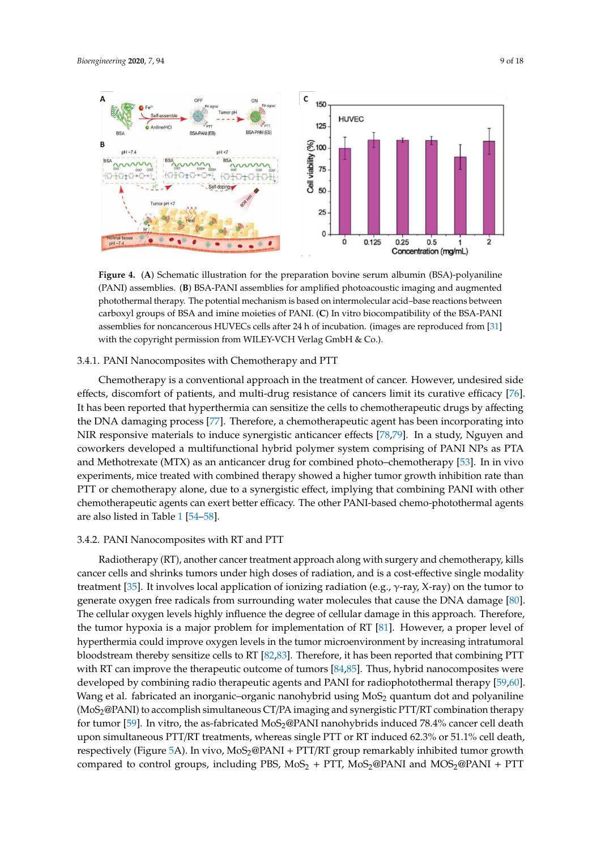

– photothermal therapy. The potential mechanism is based on intermolecular acid–base reactions between **Figure 4.** (**A**) Schematic illustration for the preparation bovine serum albumin (BSA)-polyaniline (PANI) assemblies. (**B**) BSA-PANI assemblies for amplified photoacoustic imaging and augmented carboxyl groups of BSA and imine moieties of PANI. (**C**) In vitro biocompatibility of the BSA-PANI assemblies for noncancerous HUVECs cells after 24 h of incubation. (images are reproduced from [31] with the copyright permission from WILEY-VCH Verlag GmbH & Co.).

# 3.4.1. PANI Nanocomposites with Chemotherapy and PTT

Chemotherapy is a conventional approach in the treatment of cancer. However, undesired side effects, discomfort of patients, and multi-drug resistance of cancers limit its curative efficacy [76]. It has been reported that hyperthermia can sensitize the cells to chemotherapeutic drugs by affecting the DNA damaging process [77]. Therefore, a chemotherapeutic agent has been incorporating into NIR responsive materials to induce synergistic anticancer effects [78,79]. In a study, Nguyen and coworkers developed a multifunctional hybrid polymer system comprising of PANI NPs as PTA and Methotrexate (MTX) as an anticancer drug for combined photo–chemotherapy [53]. In in vivo experiments, mice treated with combined therapy showed a higher tumor growth inhibition rate than PTT or chemotherapy alone, due to a synergistic effect, implying that combining PANI with other chemotherapeutic agents can exert better efficacy. The other PANI-based chemo-photothermal agents are also listed in Table 1 [54–58].

#### 3.4.2. PANI Nanocomposites with RT and PTT

Radiotherapy (RT), another cancer treatment approach along with surgery and chemotherapy, kills cancer cells and shrinks tumors under high doses of radiation, and is a cost-effective single modality treatment [35]. It involves local application of ionizing radiation (e.g.,  $\gamma$ -ray, X-ray) on the tumor to generate oxygen free radicals from surrounding water molecules that cause the DNA damage [80]. The cellular oxygen levels highly influence the degree of cellular damage in this approach. Therefore, the tumor hypoxia is a major problem for implementation of RT [81]. However, a proper level of hyperthermia could improve oxygen levels in the tumor microenvironment by increasing intratumoral bloodstream thereby sensitize cells to RT [82,83]. Therefore, it has been reported that combining PTT with RT can improve the therapeutic outcome of tumors [84,85]. Thus, hybrid nanocomposites were developed by combining radio therapeutic agents and PANI for radiophotothermal therapy [59,60]. Wang et al. fabricated an inorganic–organic nanohybrid using  $MoS<sub>2</sub>$  quantum dot and polyaniline (MoS2@PANI) to accomplish simultaneous CT/PA imaging and synergistic PTT/RT combination therapy for tumor [59]. In vitro, the as-fabricated MoS<sub>2</sub>@PANI nanohybrids induced 78.4% cancer cell death upon simultaneous PTT/RT treatments, whereas single PTT or RT induced 62.3% or 51.1% cell death, respectively (Figure 5A). In vivo, MoS<sub>2</sub>@PANI + PTT/RT group remarkably inhibited tumor growth compared to control groups, including PBS,  $MoS<sub>2</sub> + PTT$ ,  $MoS<sub>2</sub>@PANI$  and  $MOS<sub>2</sub>@PANI + PTT$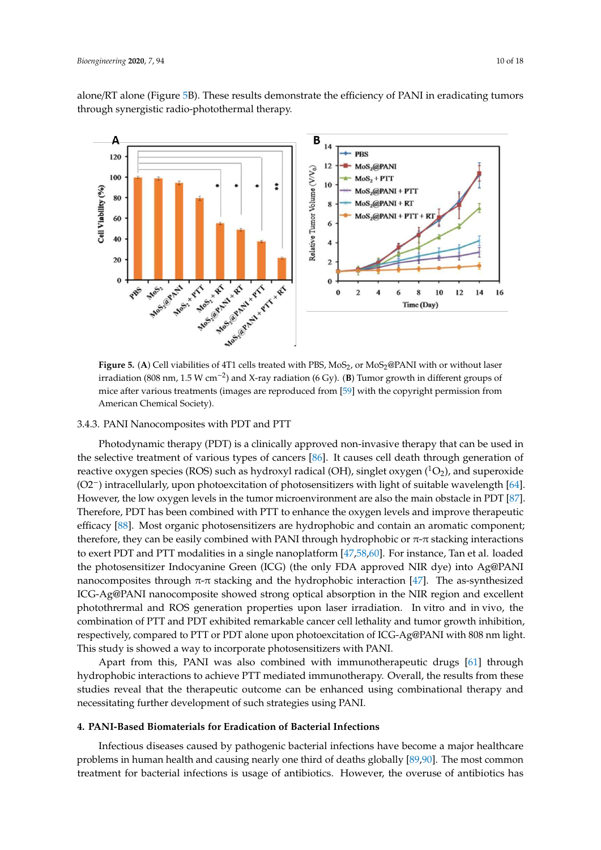alone/RT alone (Figure 5B). These results demonstrate the efficiency of PANI in eradicating tumors through synergistic radio-photothermal therapy.



−2 irradiation (808 nm, 1.5 W cm−<sup>2</sup> ) and X-ray radiation (6 Gy). (**B**) Tumor growth in different groups of **Figure 5.** (A) Cell viabilities of 4T1 cells treated with PBS, MoS<sub>2</sub>, or MoS<sub>2</sub>@PANI with or without laser mice after various treatments (images are reproduced from [59] with the copyright permission from American Chemical Society).

#### 3.4.3. PANI Nanocomposites with PDT and PTT

− (O2−) intracellularly, upon photoexcitation of photosensitizers with light of suitable wavelength [64]. therefore, they can be easily combined with PANI through hydrophobic or  $\pi$ - $\pi$  stacking interactions nanocomposites through  $\pi$ - $\pi$  stacking and the hydrophobic interaction [47]. The as-synthesized Photodynamic therapy (PDT) is a clinically approved non-invasive therapy that can be used in the selective treatment of various types of cancers [86]. It causes cell death through generation of reactive oxygen species (ROS) such as hydroxyl radical (OH), singlet oxygen  $(^1O_2)$ , and superoxide However, the low oxygen levels in the tumor microenvironment are also the main obstacle in PDT [87]. Therefore, PDT has been combined with PTT to enhance the oxygen levels and improve therapeutic efficacy [88]. Most organic photosensitizers are hydrophobic and contain an aromatic component; to exert PDT and PTT modalities in a single nanoplatform [47,58,60]. For instance, Tan et al. loaded the photosensitizer Indocyanine Green (ICG) (the only FDA approved NIR dye) into Ag@PANI ICG-Ag@PANI nanocomposite showed strong optical absorption in the NIR region and excellent photothrermal and ROS generation properties upon laser irradiation. In vitro and in vivo, the combination of PTT and PDT exhibited remarkable cancer cell lethality and tumor growth inhibition, respectively, compared to PTT or PDT alone upon photoexcitation of ICG-Ag@PANI with 808 nm light. This study is showed a way to incorporate photosensitizers with PANI.

Apart from this, PANI was also combined with immunotherapeutic drugs [61] through hydrophobic interactions to achieve PTT mediated immunotherapy. Overall, the results from these studies reveal that the therapeutic outcome can be enhanced using combinational therapy and necessitating further development of such strategies using PANI.

# **4. PANI-Based Biomaterials for Eradication of Bacterial Infections**

Infectious diseases caused by pathogenic bacterial infections have become a major healthcare problems in human health and causing nearly one third of deaths globally [89,90]. The most common treatment for bacterial infections is usage of antibiotics. However, the overuse of antibiotics has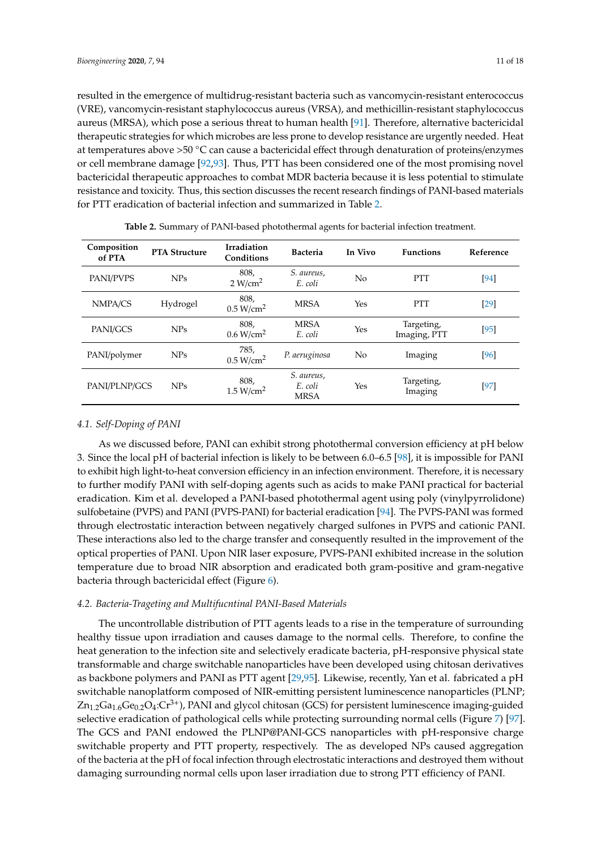resulted in the emergence of multidrug-resistant bacteria such as vancomycin-resistant enterococcus (VRE), vancomycin-resistant staphylococcus aureus (VRSA), and methicillin-resistant staphylococcus aureus (MRSA), which pose a serious threat to human health [91]. Therefore, alternative bactericidal therapeutic strategies for which microbes are less prone to develop resistance are urgently needed. Heat at temperatures above >50 ◦C can cause a bactericidal effect through denaturation of proteins/enzymes or cell membrane damage [92,93]. Thus, PTT has been considered one of the most promising novel bactericidal therapeutic approaches to combat MDR bacteria because it is less potential to stimulate resistance and toxicity. Thus, this section discusses the recent research findings of PANI-based materials for PTT eradication of bacterial infection and summarized in Table 2.

| Composition<br>of PTA | <b>PTA Structure</b> | <b>Irradiation</b><br>Conditions | <b>Bacteria</b>                      | In Vivo | <b>Functions</b>           | Reference |
|-----------------------|----------------------|----------------------------------|--------------------------------------|---------|----------------------------|-----------|
| PANI/PVPS             | <b>NPs</b>           | 808,<br>2 W/cm <sup>2</sup>      | S. aureus,<br>E. coli                | No      | <b>PTT</b>                 | [94]      |
| NMPA/CS               | Hydrogel             | 808,<br>0.5 W/cm <sup>2</sup>    | <b>MRSA</b>                          | Yes     | <b>PTT</b>                 | $[29]$    |
| PANI/GCS              | <b>NPs</b>           | 808.<br>0.6 W/cm <sup>2</sup>    | <b>MRSA</b><br>E. coli               | Yes     | Targeting,<br>Imaging, PTT | [95]      |
| PANI/polymer          | <b>NPs</b>           | 785,<br>0.5 W/cm <sup>2</sup>    | P. aeruginosa                        | No      | Imaging                    | [96]      |
| PANI/PLNP/GCS         | <b>NPs</b>           | 808,<br>1.5 W/cm <sup>2</sup>    | S. aureus,<br>E. coli<br><b>MRSA</b> | Yes     | Targeting,<br>Imaging      | [97]      |

**Table 2.** Summary of PANI-based photothermal agents for bacterial infection treatment.

#### *4.1. Self-Doping of PANI*

As we discussed before, PANI can exhibit strong photothermal conversion efficiency at pH below 3. Since the local pH of bacterial infection is likely to be between 6.0–6.5 [98], it is impossible for PANI to exhibit high light-to-heat conversion efficiency in an infection environment. Therefore, it is necessary to further modify PANI with self-doping agents such as acids to make PANI practical for bacterial eradication. Kim et al. developed a PANI-based photothermal agent using poly (vinylpyrrolidone) sulfobetaine (PVPS) and PANI (PVPS-PANI) for bacterial eradication [94]. The PVPS-PANI was formed through electrostatic interaction between negatively charged sulfones in PVPS and cationic PANI. These interactions also led to the charge transfer and consequently resulted in the improvement of the optical properties of PANI. Upon NIR laser exposure, PVPS-PANI exhibited increase in the solution temperature due to broad NIR absorption and eradicated both gram-positive and gram-negative bacteria through bactericidal effect (Figure 6).

# *4.2. Bacteria-Trageting and Multifucntinal PANI-Based Materials*

The uncontrollable distribution of PTT agents leads to a rise in the temperature of surrounding healthy tissue upon irradiation and causes damage to the normal cells. Therefore, to confine the heat generation to the infection site and selectively eradicate bacteria, pH-responsive physical state transformable and charge switchable nanoparticles have been developed using chitosan derivatives as backbone polymers and PANI as PTT agent [29,95]. Likewise, recently, Yan et al. fabricated a pH switchable nanoplatform composed of NIR-emitting persistent luminescence nanoparticles (PLNP;  $Zn_{1.2}Ga_{1.6}Ge_{0.2}O_4$ : $Cr^{3+}$ ), PANI and glycol chitosan (GCS) for persistent luminescence imaging-guided selective eradication of pathological cells while protecting surrounding normal cells (Figure 7) [97]. The GCS and PANI endowed the PLNP@PANI-GCS nanoparticles with pH-responsive charge switchable property and PTT property, respectively. The as developed NPs caused aggregation of the bacteria at the pH of focal infection through electrostatic interactions and destroyed them without damaging surrounding normal cells upon laser irradiation due to strong PTT efficiency of PANI.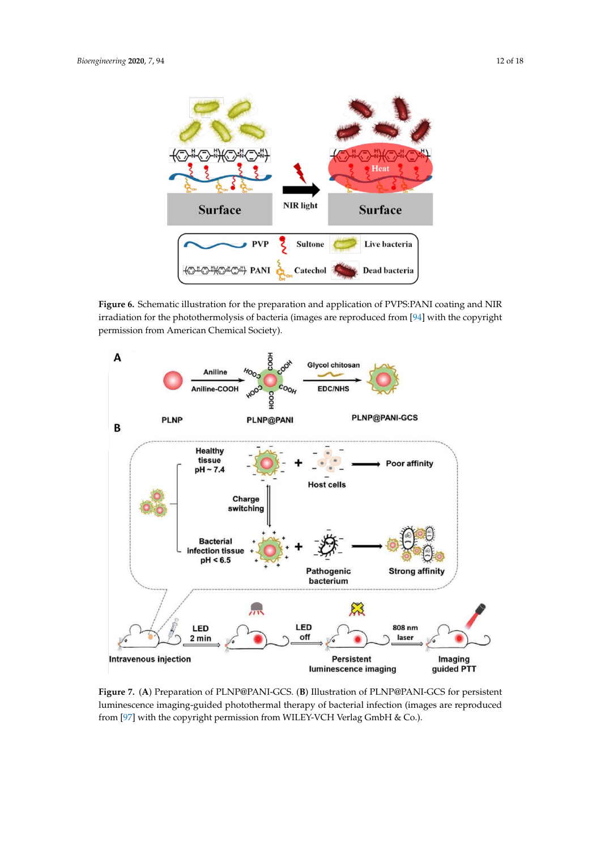

**Figure 6.** Schematic illustration for the preparation and application of PVPS:PANI coating and NIR irradiation for the photothermolysis of bacteria (images are reproduced from [94] with the copyright permission from American Chemical Society).



**Figure 7.** (**A**) Preparation of PLNP@PANI-GCS. (**B**) Illustration of PLNP@PANI-GCS for persistent luminescence imaging-guided photothermal therapy of bacterial infection (images are reproduced from [97] with the copyright permission from WILEY-VCH Verlag GmbH & Co.).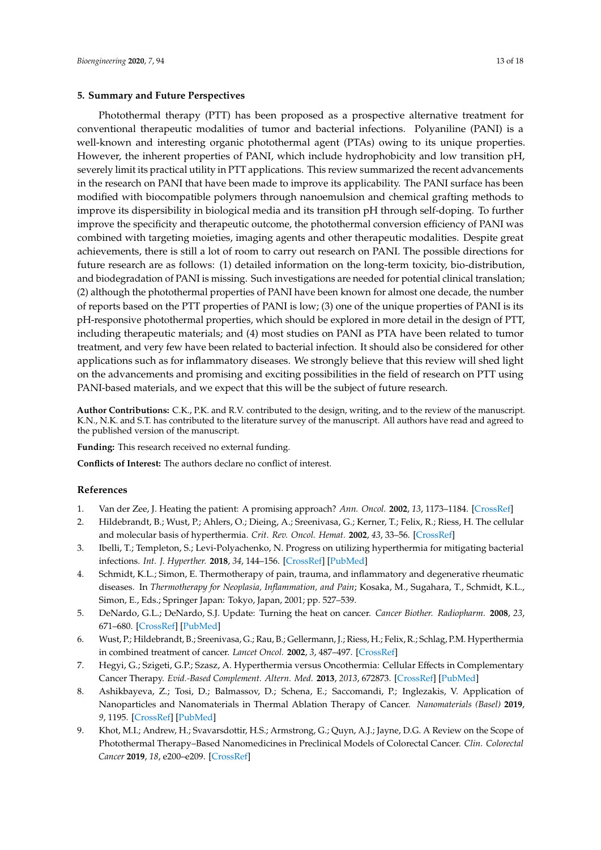#### **5. Summary and Future Perspectives**

Photothermal therapy (PTT) has been proposed as a prospective alternative treatment for conventional therapeutic modalities of tumor and bacterial infections. Polyaniline (PANI) is a well-known and interesting organic photothermal agent (PTAs) owing to its unique properties. However, the inherent properties of PANI, which include hydrophobicity and low transition pH, severely limit its practical utility in PTT applications. This review summarized the recent advancements in the research on PANI that have been made to improve its applicability. The PANI surface has been modified with biocompatible polymers through nanoemulsion and chemical grafting methods to improve its dispersibility in biological media and its transition pH through self-doping. To further improve the specificity and therapeutic outcome, the photothermal conversion efficiency of PANI was combined with targeting moieties, imaging agents and other therapeutic modalities. Despite great achievements, there is still a lot of room to carry out research on PANI. The possible directions for future research are as follows: (1) detailed information on the long-term toxicity, bio-distribution, and biodegradation of PANI is missing. Such investigations are needed for potential clinical translation; (2) although the photothermal properties of PANI have been known for almost one decade, the number of reports based on the PTT properties of PANI is low; (3) one of the unique properties of PANI is its pH-responsive photothermal properties, which should be explored in more detail in the design of PTT, including therapeutic materials; and (4) most studies on PANI as PTA have been related to tumor treatment, and very few have been related to bacterial infection. It should also be considered for other applications such as for inflammatory diseases. We strongly believe that this review will shed light on the advancements and promising and exciting possibilities in the field of research on PTT using PANI-based materials, and we expect that this will be the subject of future research.

**Author Contributions:** C.K., P.K. and R.V. contributed to the design, writing, and to the review of the manuscript. K.N., N.K. and S.T. has contributed to the literature survey of the manuscript. All authors have read and agreed to the published version of the manuscript.

**Funding:** This research received no external funding.

**Conflicts of Interest:** The authors declare no conflict of interest.

## **References**

- 1. Van der Zee, J. Heating the patient: A promising approach? *Ann. Oncol.* **2002**, *13*, 1173–1184. [CrossRef]
- 2. Hildebrandt, B.; Wust, P.; Ahlers, O.; Dieing, A.; Sreenivasa, G.; Kerner, T.; Felix, R.; Riess, H. The cellular and molecular basis of hyperthermia. *Crit. Rev. Oncol. Hemat.* **2002**, *43*, 33–56. [CrossRef]
- 3. Ibelli, T.; Templeton, S.; Levi-Polyachenko, N. Progress on utilizing hyperthermia for mitigating bacterial infections. *Int. J. Hyperther.* **2018**, *34*, 144–156. [CrossRef] [PubMed]
- 4. Schmidt, K.L.; Simon, E. Thermotherapy of pain, trauma, and inflammatory and degenerative rheumatic diseases. In *Thermotherapy for Neoplasia, Inflammation, and Pain*; Kosaka, M., Sugahara, T., Schmidt, K.L., Simon, E., Eds.; Springer Japan: Tokyo, Japan, 2001; pp. 527–539.
- 5. DeNardo, G.L.; DeNardo, S.J. Update: Turning the heat on cancer. *Cancer Biother. Radiopharm.* **2008**, *23*, 671–680. [CrossRef] [PubMed]
- 6. Wust, P.; Hildebrandt, B.; Sreenivasa, G.; Rau, B.; Gellermann, J.; Riess, H.; Felix, R.; Schlag, P.M. Hyperthermia in combined treatment of cancer. *Lancet Oncol.* **2002**, *3*, 487–497. [CrossRef]
- 7. Hegyi, G.; Szigeti, G.P.; Szasz, A. Hyperthermia versus Oncothermia: Cellular Effects in Complementary Cancer Therapy. *Evid.-Based Complement. Altern. Med.* **2013**, *2013*, 672873. [CrossRef] [PubMed]
- 8. Ashikbayeva, Z.; Tosi, D.; Balmassov, D.; Schena, E.; Saccomandi, P.; Inglezakis, V. Application of Nanoparticles and Nanomaterials in Thermal Ablation Therapy of Cancer. *Nanomaterials (Basel)* **2019**, *9*, 1195. [CrossRef] [PubMed]
- 9. Khot, M.I.; Andrew, H.; Svavarsdottir, H.S.; Armstrong, G.; Quyn, A.J.; Jayne, D.G. A Review on the Scope of Photothermal Therapy–Based Nanomedicines in Preclinical Models of Colorectal Cancer. *Clin. Colorectal Cancer* **2019**, *18*, e200–e209. [CrossRef]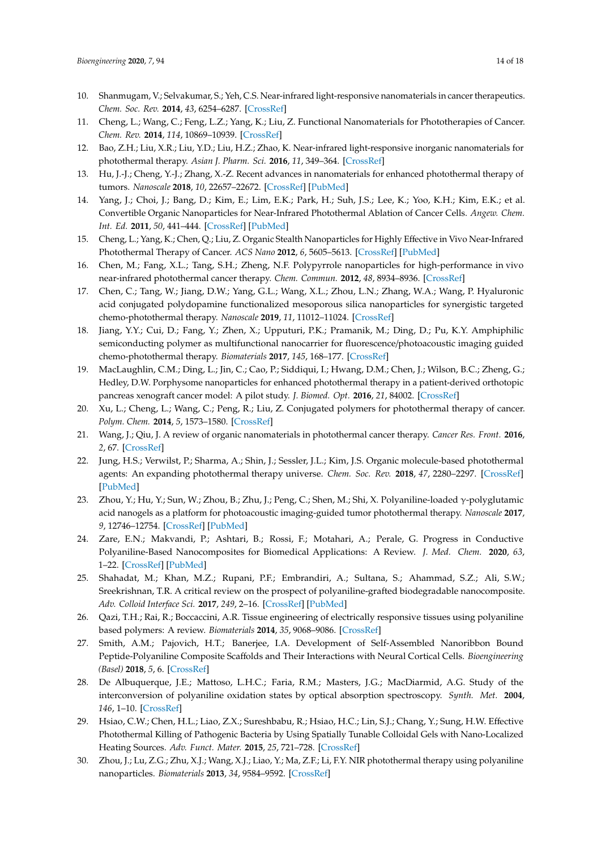- 10. Shanmugam, V.; Selvakumar, S.; Yeh, C.S. Near-infrared light-responsive nanomaterials in cancer therapeutics. *Chem. Soc. Rev.* **2014**, *43*, 6254–6287. [CrossRef]
- 11. Cheng, L.; Wang, C.; Feng, L.Z.; Yang, K.; Liu, Z. Functional Nanomaterials for Phototherapies of Cancer. *Chem. Rev.* **2014**, *114*, 10869–10939. [CrossRef]
- 12. Bao, Z.H.; Liu, X.R.; Liu, Y.D.; Liu, H.Z.; Zhao, K. Near-infrared light-responsive inorganic nanomaterials for photothermal therapy. *Asian J. Pharm. Sci.* **2016**, *11*, 349–364. [CrossRef]
- 13. Hu, J.-J.; Cheng, Y.-J.; Zhang, X.-Z. Recent advances in nanomaterials for enhanced photothermal therapy of tumors. *Nanoscale* **2018**, *10*, 22657–22672. [CrossRef] [PubMed]
- 14. Yang, J.; Choi, J.; Bang, D.; Kim, E.; Lim, E.K.; Park, H.; Suh, J.S.; Lee, K.; Yoo, K.H.; Kim, E.K.; et al. Convertible Organic Nanoparticles for Near-Infrared Photothermal Ablation of Cancer Cells. *Angew. Chem. Int. Ed.* **2011**, *50*, 441–444. [CrossRef] [PubMed]
- 15. Cheng, L.; Yang, K.; Chen, Q.; Liu, Z. Organic Stealth Nanoparticles for Highly Effective in Vivo Near-Infrared Photothermal Therapy of Cancer. *ACS Nano* **2012**, *6*, 5605–5613. [CrossRef] [PubMed]
- 16. Chen, M.; Fang, X.L.; Tang, S.H.; Zheng, N.F. Polypyrrole nanoparticles for high-performance in vivo near-infrared photothermal cancer therapy. *Chem. Commun.* **2012**, *48*, 8934–8936. [CrossRef]
- 17. Chen, C.; Tang, W.; Jiang, D.W.; Yang, G.L.; Wang, X.L.; Zhou, L.N.; Zhang, W.A.; Wang, P. Hyaluronic acid conjugated polydopamine functionalized mesoporous silica nanoparticles for synergistic targeted chemo-photothermal therapy. *Nanoscale* **2019**, *11*, 11012–11024. [CrossRef]
- 18. Jiang, Y.Y.; Cui, D.; Fang, Y.; Zhen, X.; Upputuri, P.K.; Pramanik, M.; Ding, D.; Pu, K.Y. Amphiphilic semiconducting polymer as multifunctional nanocarrier for fluorescence/photoacoustic imaging guided chemo-photothermal therapy. *Biomaterials* **2017**, *145*, 168–177. [CrossRef]
- 19. MacLaughlin, C.M.; Ding, L.; Jin, C.; Cao, P.; Siddiqui, I.; Hwang, D.M.; Chen, J.; Wilson, B.C.; Zheng, G.; Hedley, D.W. Porphysome nanoparticles for enhanced photothermal therapy in a patient-derived orthotopic pancreas xenograft cancer model: A pilot study. *J. Biomed. Opt.* **2016**, *21*, 84002. [CrossRef]
- 20. Xu, L.; Cheng, L.; Wang, C.; Peng, R.; Liu, Z. Conjugated polymers for photothermal therapy of cancer. *Polym. Chem.* **2014**, *5*, 1573–1580. [CrossRef]
- 21. Wang, J.; Qiu, J. A review of organic nanomaterials in photothermal cancer therapy. *Cancer Res. Front.* **2016**, *2*, 67. [CrossRef]
- 22. Jung, H.S.; Verwilst, P.; Sharma, A.; Shin, J.; Sessler, J.L.; Kim, J.S. Organic molecule-based photothermal agents: An expanding photothermal therapy universe. *Chem. Soc. Rev.* **2018**, *47*, 2280–2297. [CrossRef] [PubMed]
- 23. Zhou, Y.; Hu, Y.; Sun, W.; Zhou, B.; Zhu, J.; Peng, C.; Shen, M.; Shi, X. Polyaniline-loaded γ-polyglutamic acid nanogels as a platform for photoacoustic imaging-guided tumor photothermal therapy. *Nanoscale* **2017**, *9*, 12746–12754. [CrossRef] [PubMed]
- 24. Zare, E.N.; Makvandi, P.; Ashtari, B.; Rossi, F.; Motahari, A.; Perale, G. Progress in Conductive Polyaniline-Based Nanocomposites for Biomedical Applications: A Review. *J. Med. Chem.* **2020**, *63*, 1–22. [CrossRef] [PubMed]
- 25. Shahadat, M.; Khan, M.Z.; Rupani, P.F.; Embrandiri, A.; Sultana, S.; Ahammad, S.Z.; Ali, S.W.; Sreekrishnan, T.R. A critical review on the prospect of polyaniline-grafted biodegradable nanocomposite. *Adv. Colloid Interface Sci.* **2017**, *249*, 2–16. [CrossRef] [PubMed]
- 26. Qazi, T.H.; Rai, R.; Boccaccini, A.R. Tissue engineering of electrically responsive tissues using polyaniline based polymers: A review. *Biomaterials* **2014**, *35*, 9068–9086. [CrossRef]
- 27. Smith, A.M.; Pajovich, H.T.; Banerjee, I.A. Development of Self-Assembled Nanoribbon Bound Peptide-Polyaniline Composite Scaffolds and Their Interactions with Neural Cortical Cells. *Bioengineering (Basel)* **2018**, *5*, 6. [CrossRef]
- 28. De Albuquerque, J.E.; Mattoso, L.H.C.; Faria, R.M.; Masters, J.G.; MacDiarmid, A.G. Study of the interconversion of polyaniline oxidation states by optical absorption spectroscopy. *Synth. Met.* **2004**, *146*, 1–10. [CrossRef]
- 29. Hsiao, C.W.; Chen, H.L.; Liao, Z.X.; Sureshbabu, R.; Hsiao, H.C.; Lin, S.J.; Chang, Y.; Sung, H.W. Effective Photothermal Killing of Pathogenic Bacteria by Using Spatially Tunable Colloidal Gels with Nano-Localized Heating Sources. *Adv. Funct. Mater.* **2015**, *25*, 721–728. [CrossRef]
- 30. Zhou, J.; Lu, Z.G.; Zhu, X.J.; Wang, X.J.; Liao, Y.; Ma, Z.F.; Li, F.Y. NIR photothermal therapy using polyaniline nanoparticles. *Biomaterials* **2013**, *34*, 9584–9592. [CrossRef]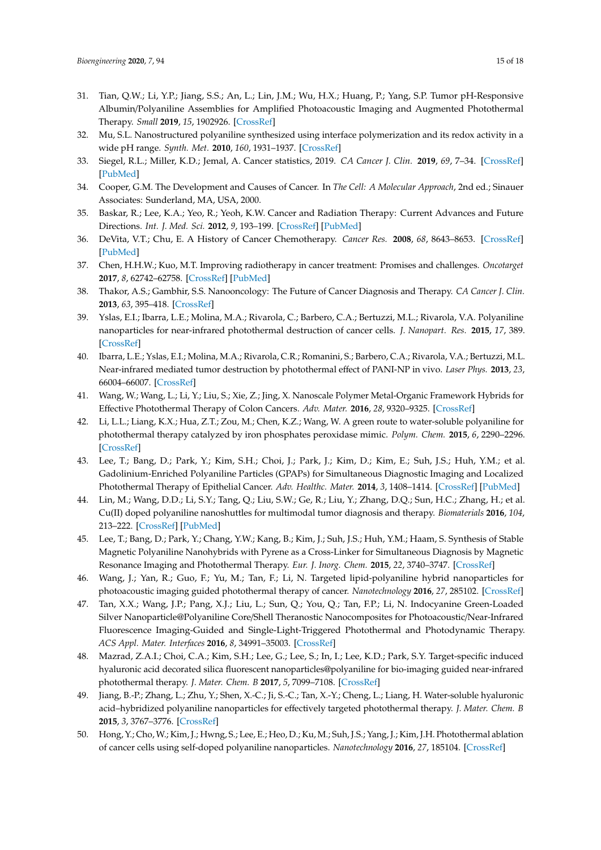- 31. Tian, Q.W.; Li, Y.P.; Jiang, S.S.; An, L.; Lin, J.M.; Wu, H.X.; Huang, P.; Yang, S.P. Tumor pH-Responsive Albumin/Polyaniline Assemblies for Amplified Photoacoustic Imaging and Augmented Photothermal Therapy. *Small* **2019**, *15*, 1902926. [CrossRef]
- 32. Mu, S.L. Nanostructured polyaniline synthesized using interface polymerization and its redox activity in a wide pH range. *Synth. Met.* **2010**, *160*, 1931–1937. [CrossRef]
- 33. Siegel, R.L.; Miller, K.D.; Jemal, A. Cancer statistics, 2019. *CA Cancer J. Clin.* **2019**, *69*, 7–34. [CrossRef] [PubMed]
- 34. Cooper, G.M. The Development and Causes of Cancer. In *The Cell: A Molecular Approach*, 2nd ed.; Sinauer Associates: Sunderland, MA, USA, 2000.
- 35. Baskar, R.; Lee, K.A.; Yeo, R.; Yeoh, K.W. Cancer and Radiation Therapy: Current Advances and Future Directions. *Int. J. Med. Sci.* **2012**, *9*, 193–199. [CrossRef] [PubMed]
- 36. DeVita, V.T.; Chu, E. A History of Cancer Chemotherapy. *Cancer Res.* **2008**, *68*, 8643–8653. [CrossRef] [PubMed]
- 37. Chen, H.H.W.; Kuo, M.T. Improving radiotherapy in cancer treatment: Promises and challenges. *Oncotarget* **2017**, *8*, 62742–62758. [CrossRef] [PubMed]
- 38. Thakor, A.S.; Gambhir, S.S. Nanooncology: The Future of Cancer Diagnosis and Therapy. *CA Cancer J. Clin.* **2013**, *63*, 395–418. [CrossRef]
- 39. Yslas, E.I.; Ibarra, L.E.; Molina, M.A.; Rivarola, C.; Barbero, C.A.; Bertuzzi, M.L.; Rivarola, V.A. Polyaniline nanoparticles for near-infrared photothermal destruction of cancer cells. *J. Nanopart. Res.* **2015**, *17*, 389. [CrossRef]
- 40. Ibarra, L.E.; Yslas, E.I.; Molina, M.A.; Rivarola, C.R.; Romanini, S.; Barbero, C.A.; Rivarola, V.A.; Bertuzzi, M.L. Near-infrared mediated tumor destruction by photothermal effect of PANI-NP in vivo. *Laser Phys.* **2013**, *23*, 66004–66007. [CrossRef]
- 41. Wang, W.; Wang, L.; Li, Y.; Liu, S.; Xie, Z.; Jing, X. Nanoscale Polymer Metal-Organic Framework Hybrids for Effective Photothermal Therapy of Colon Cancers. *Adv. Mater.* **2016**, *28*, 9320–9325. [CrossRef]
- 42. Li, L.L.; Liang, K.X.; Hua, Z.T.; Zou, M.; Chen, K.Z.; Wang, W. A green route to water-soluble polyaniline for photothermal therapy catalyzed by iron phosphates peroxidase mimic. *Polym. Chem.* **2015**, *6*, 2290–2296. [CrossRef]
- 43. Lee, T.; Bang, D.; Park, Y.; Kim, S.H.; Choi, J.; Park, J.; Kim, D.; Kim, E.; Suh, J.S.; Huh, Y.M.; et al. Gadolinium-Enriched Polyaniline Particles (GPAPs) for Simultaneous Diagnostic Imaging and Localized Photothermal Therapy of Epithelial Cancer. *Adv. Healthc. Mater.* **2014**, *3*, 1408–1414. [CrossRef] [PubMed]
- 44. Lin, M.; Wang, D.D.; Li, S.Y.; Tang, Q.; Liu, S.W.; Ge, R.; Liu, Y.; Zhang, D.Q.; Sun, H.C.; Zhang, H.; et al. Cu(II) doped polyaniline nanoshuttles for multimodal tumor diagnosis and therapy. *Biomaterials* **2016**, *104*, 213–222. [CrossRef] [PubMed]
- 45. Lee, T.; Bang, D.; Park, Y.; Chang, Y.W.; Kang, B.; Kim, J.; Suh, J.S.; Huh, Y.M.; Haam, S. Synthesis of Stable Magnetic Polyaniline Nanohybrids with Pyrene as a Cross-Linker for Simultaneous Diagnosis by Magnetic Resonance Imaging and Photothermal Therapy. *Eur. J. Inorg. Chem.* **2015**, *22*, 3740–3747. [CrossRef]
- 46. Wang, J.; Yan, R.; Guo, F.; Yu, M.; Tan, F.; Li, N. Targeted lipid-polyaniline hybrid nanoparticles for photoacoustic imaging guided photothermal therapy of cancer. *Nanotechnology* **2016**, *27*, 285102. [CrossRef]
- 47. Tan, X.X.; Wang, J.P.; Pang, X.J.; Liu, L.; Sun, Q.; You, Q.; Tan, F.P.; Li, N. Indocyanine Green-Loaded Silver Nanoparticle@Polyaniline Core/Shell Theranostic Nanocomposites for Photoacoustic/Near-Infrared Fluorescence Imaging-Guided and Single-Light-Triggered Photothermal and Photodynamic Therapy. *ACS Appl. Mater. Interfaces* **2016**, *8*, 34991–35003. [CrossRef]
- 48. Mazrad, Z.A.I.; Choi, C.A.; Kim, S.H.; Lee, G.; Lee, S.; In, I.; Lee, K.D.; Park, S.Y. Target-specific induced hyaluronic acid decorated silica fluorescent nanoparticles@polyaniline for bio-imaging guided near-infrared photothermal therapy. *J. Mater. Chem. B* **2017**, *5*, 7099–7108. [CrossRef]
- 49. Jiang, B.-P.; Zhang, L.; Zhu, Y.; Shen, X.-C.; Ji, S.-C.; Tan, X.-Y.; Cheng, L.; Liang, H. Water-soluble hyaluronic acid–hybridized polyaniline nanoparticles for effectively targeted photothermal therapy. *J. Mater. Chem. B* **2015**, *3*, 3767–3776. [CrossRef]
- 50. Hong, Y.; Cho, W.; Kim, J.; Hwng, S.; Lee, E.; Heo, D.; Ku, M.; Suh, J.S.; Yang, J.; Kim, J.H. Photothermal ablation of cancer cells using self-doped polyaniline nanoparticles. *Nanotechnology* **2016**, *27*, 185104. [CrossRef]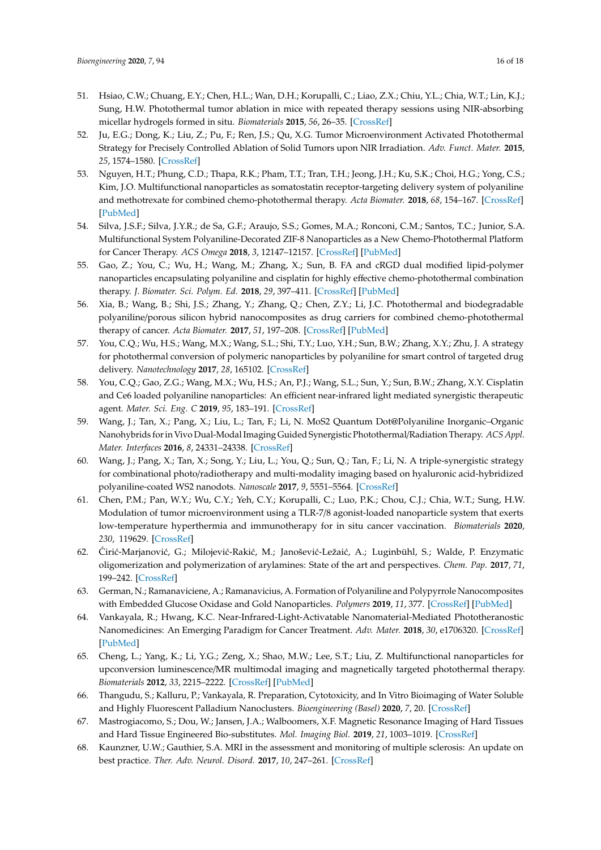- 51. Hsiao, C.W.; Chuang, E.Y.; Chen, H.L.; Wan, D.H.; Korupalli, C.; Liao, Z.X.; Chiu, Y.L.; Chia, W.T.; Lin, K.J.; Sung, H.W. Photothermal tumor ablation in mice with repeated therapy sessions using NIR-absorbing micellar hydrogels formed in situ. *Biomaterials* **2015**, *56*, 26–35. [CrossRef]
- 52. Ju, E.G.; Dong, K.; Liu, Z.; Pu, F.; Ren, J.S.; Qu, X.G. Tumor Microenvironment Activated Photothermal Strategy for Precisely Controlled Ablation of Solid Tumors upon NIR Irradiation. *Adv. Funct. Mater.* **2015**, *25*, 1574–1580. [CrossRef]
- 53. Nguyen, H.T.; Phung, C.D.; Thapa, R.K.; Pham, T.T.; Tran, T.H.; Jeong, J.H.; Ku, S.K.; Choi, H.G.; Yong, C.S.; Kim, J.O. Multifunctional nanoparticles as somatostatin receptor-targeting delivery system of polyaniline and methotrexate for combined chemo-photothermal therapy. *Acta Biomater.* **2018**, *68*, 154–167. [CrossRef] [PubMed]
- 54. Silva, J.S.F.; Silva, J.Y.R.; de Sa, G.F.; Araujo, S.S.; Gomes, M.A.; Ronconi, C.M.; Santos, T.C.; Junior, S.A. Multifunctional System Polyaniline-Decorated ZIF-8 Nanoparticles as a New Chemo-Photothermal Platform for Cancer Therapy. *ACS Omega* **2018**, *3*, 12147–12157. [CrossRef] [PubMed]
- 55. Gao, Z.; You, C.; Wu, H.; Wang, M.; Zhang, X.; Sun, B. FA and cRGD dual modified lipid-polymer nanoparticles encapsulating polyaniline and cisplatin for highly effective chemo-photothermal combination therapy. *J. Biomater. Sci. Polym. Ed.* **2018**, *29*, 397–411. [CrossRef] [PubMed]
- 56. Xia, B.; Wang, B.; Shi, J.S.; Zhang, Y.; Zhang, Q.; Chen, Z.Y.; Li, J.C. Photothermal and biodegradable polyaniline/porous silicon hybrid nanocomposites as drug carriers for combined chemo-photothermal therapy of cancer. *Acta Biomater.* **2017**, *51*, 197–208. [CrossRef] [PubMed]
- 57. You, C.Q.; Wu, H.S.; Wang, M.X.; Wang, S.L.; Shi, T.Y.; Luo, Y.H.; Sun, B.W.; Zhang, X.Y.; Zhu, J. A strategy for photothermal conversion of polymeric nanoparticles by polyaniline for smart control of targeted drug delivery. *Nanotechnology* **2017**, *28*, 165102. [CrossRef]
- 58. You, C.Q.; Gao, Z.G.; Wang, M.X.; Wu, H.S.; An, P.J.; Wang, S.L.; Sun, Y.; Sun, B.W.; Zhang, X.Y. Cisplatin and Ce6 loaded polyaniline nanoparticles: An efficient near-infrared light mediated synergistic therapeutic agent. *Mater. Sci. Eng. C* **2019**, *95*, 183–191. [CrossRef]
- 59. Wang, J.; Tan, X.; Pang, X.; Liu, L.; Tan, F.; Li, N. MoS2 Quantum Dot@Polyaniline Inorganic–Organic Nanohybrids for in Vivo Dual-Modal Imaging Guided Synergistic Photothermal/Radiation Therapy. *ACS Appl. Mater. Interfaces* **2016**, *8*, 24331–24338. [CrossRef]
- 60. Wang, J.; Pang, X.; Tan, X.; Song, Y.; Liu, L.; You, Q.; Sun, Q.; Tan, F.; Li, N. A triple-synergistic strategy for combinational photo/radiotherapy and multi-modality imaging based on hyaluronic acid-hybridized polyaniline-coated WS2 nanodots. *Nanoscale* **2017**, *9*, 5551–5564. [CrossRef]
- 61. Chen, P.M.; Pan, W.Y.; Wu, C.Y.; Yeh, C.Y.; Korupalli, C.; Luo, P.K.; Chou, C.J.; Chia, W.T.; Sung, H.W. Modulation of tumor microenvironment using a TLR-7/8 agonist-loaded nanoparticle system that exerts low-temperature hyperthermia and immunotherapy for in situ cancer vaccination. *Biomaterials* **2020**, *230*, 119629. [CrossRef]
- 62. Cirić-Marjanović, G.; Milojević-Rakić, M.; Janošević-Ležaić, A.; Luginbühl, S.; Walde, P. Enzymatic oligomerization and polymerization of arylamines: State of the art and perspectives. *Chem. Pap.* **2017**, *71*, 199–242. [CrossRef]
- 63. German, N.; Ramanaviciene, A.; Ramanavicius, A. Formation of Polyaniline and Polypyrrole Nanocomposites with Embedded Glucose Oxidase and Gold Nanoparticles. *Polymers* **2019**, *11*, 377. [CrossRef] [PubMed]
- 64. Vankayala, R.; Hwang, K.C. Near-Infrared-Light-Activatable Nanomaterial-Mediated Phototheranostic Nanomedicines: An Emerging Paradigm for Cancer Treatment. *Adv. Mater.* **2018**, *30*, e1706320. [CrossRef] [PubMed]
- 65. Cheng, L.; Yang, K.; Li, Y.G.; Zeng, X.; Shao, M.W.; Lee, S.T.; Liu, Z. Multifunctional nanoparticles for upconversion luminescence/MR multimodal imaging and magnetically targeted photothermal therapy. *Biomaterials* **2012**, *33*, 2215–2222. [CrossRef] [PubMed]
- 66. Thangudu, S.; Kalluru, P.; Vankayala, R. Preparation, Cytotoxicity, and In Vitro Bioimaging of Water Soluble and Highly Fluorescent Palladium Nanoclusters. *Bioengineering (Basel)* **2020**, *7*, 20. [CrossRef]
- 67. Mastrogiacomo, S.; Dou, W.; Jansen, J.A.; Walboomers, X.F. Magnetic Resonance Imaging of Hard Tissues and Hard Tissue Engineered Bio-substitutes. *Mol. Imaging Biol.* **2019**, *21*, 1003–1019. [CrossRef]
- 68. Kaunzner, U.W.; Gauthier, S.A. MRI in the assessment and monitoring of multiple sclerosis: An update on best practice. *Ther. Adv. Neurol. Disord.* **2017**, *10*, 247–261. [CrossRef]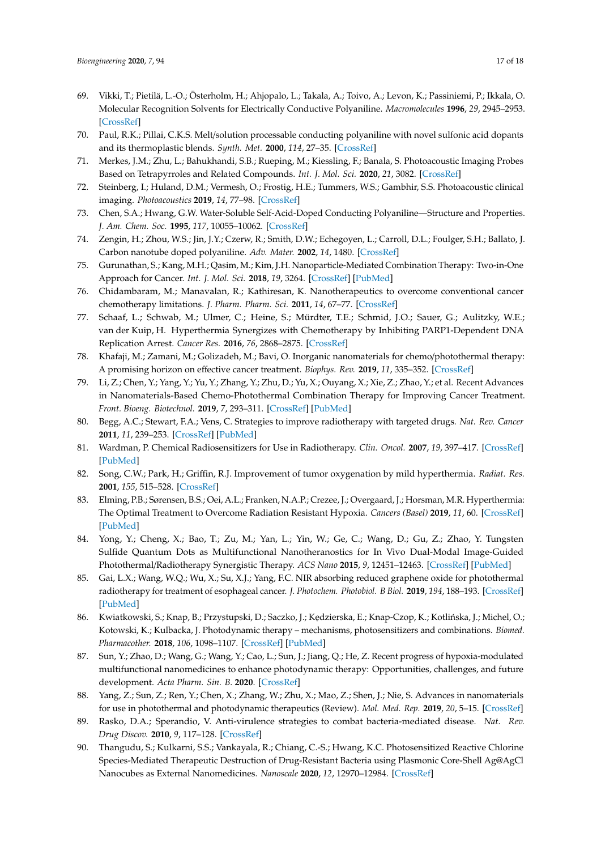- 69. Vikki, T.; Pietilä, L.-O.; Österholm, H.; Ahjopalo, L.; Takala, A.; Toivo, A.; Levon, K.; Passiniemi, P.; Ikkala, O. Molecular Recognition Solvents for Electrically Conductive Polyaniline. *Macromolecules* **1996**, *29*, 2945–2953. [CrossRef]
- 70. Paul, R.K.; Pillai, C.K.S. Melt/solution processable conducting polyaniline with novel sulfonic acid dopants and its thermoplastic blends. *Synth. Met.* **2000**, *114*, 27–35. [CrossRef]
- 71. Merkes, J.M.; Zhu, L.; Bahukhandi, S.B.; Rueping, M.; Kiessling, F.; Banala, S. Photoacoustic Imaging Probes Based on Tetrapyrroles and Related Compounds. *Int. J. Mol. Sci.* **2020**, *21*, 3082. [CrossRef]
- 72. Steinberg, I.; Huland, D.M.; Vermesh, O.; Frostig, H.E.; Tummers, W.S.; Gambhir, S.S. Photoacoustic clinical imaging. *Photoacoustics* **2019**, *14*, 77–98. [CrossRef]
- 73. Chen, S.A.; Hwang, G.W. Water-Soluble Self-Acid-Doped Conducting Polyaniline—Structure and Properties. *J. Am. Chem. Soc.* **1995**, *117*, 10055–10062. [CrossRef]
- 74. Zengin, H.; Zhou, W.S.; Jin, J.Y.; Czerw, R.; Smith, D.W.; Echegoyen, L.; Carroll, D.L.; Foulger, S.H.; Ballato, J. Carbon nanotube doped polyaniline. *Adv. Mater.* **2002**, *14*, 1480. [CrossRef]
- 75. Gurunathan, S.; Kang, M.H.; Qasim, M.; Kim, J.H. Nanoparticle-Mediated Combination Therapy: Two-in-One Approach for Cancer. *Int. J. Mol. Sci.* **2018**, *19*, 3264. [CrossRef] [PubMed]
- 76. Chidambaram, M.; Manavalan, R.; Kathiresan, K. Nanotherapeutics to overcome conventional cancer chemotherapy limitations. *J. Pharm. Pharm. Sci.* **2011**, *14*, 67–77. [CrossRef]
- 77. Schaaf, L.; Schwab, M.; Ulmer, C.; Heine, S.; Mürdter, T.E.; Schmid, J.O.; Sauer, G.; Aulitzky, W.E.; van der Kuip, H. Hyperthermia Synergizes with Chemotherapy by Inhibiting PARP1-Dependent DNA Replication Arrest. *Cancer Res.* **2016**, *76*, 2868–2875. [CrossRef]
- 78. Khafaji, M.; Zamani, M.; Golizadeh, M.; Bavi, O. Inorganic nanomaterials for chemo/photothermal therapy: A promising horizon on effective cancer treatment. *Biophys. Rev.* **2019**, *11*, 335–352. [CrossRef]
- 79. Li, Z.; Chen, Y.; Yang, Y.; Yu, Y.; Zhang, Y.; Zhu, D.; Yu, X.; Ouyang, X.; Xie, Z.; Zhao, Y.; et al. Recent Advances in Nanomaterials-Based Chemo-Photothermal Combination Therapy for Improving Cancer Treatment. *Front. Bioeng. Biotechnol.* **2019**, *7*, 293–311. [CrossRef] [PubMed]
- 80. Begg, A.C.; Stewart, F.A.; Vens, C. Strategies to improve radiotherapy with targeted drugs. *Nat. Rev. Cancer* **2011**, *11*, 239–253. [CrossRef] [PubMed]
- 81. Wardman, P. Chemical Radiosensitizers for Use in Radiotherapy. *Clin. Oncol.* **2007**, *19*, 397–417. [CrossRef] [PubMed]
- 82. Song, C.W.; Park, H.; Griffin, R.J. Improvement of tumor oxygenation by mild hyperthermia. *Radiat. Res.* **2001**, *155*, 515–528. [CrossRef]
- 83. Elming, P.B.; Sørensen, B.S.; Oei, A.L.; Franken, N.A.P.; Crezee, J.; Overgaard, J.; Horsman, M.R. Hyperthermia: The Optimal Treatment to Overcome Radiation Resistant Hypoxia. *Cancers (Basel)* **2019**, *11*, 60. [CrossRef] [PubMed]
- 84. Yong, Y.; Cheng, X.; Bao, T.; Zu, M.; Yan, L.; Yin, W.; Ge, C.; Wang, D.; Gu, Z.; Zhao, Y. Tungsten Sulfide Quantum Dots as Multifunctional Nanotheranostics for In Vivo Dual-Modal Image-Guided Photothermal/Radiotherapy Synergistic Therapy. *ACS Nano* **2015**, *9*, 12451–12463. [CrossRef] [PubMed]
- 85. Gai, L.X.; Wang, W.Q.; Wu, X.; Su, X.J.; Yang, F.C. NIR absorbing reduced graphene oxide for photothermal radiotherapy for treatment of esophageal cancer. *J. Photochem. Photobiol. B Biol.* **2019**, *194*, 188–193. [CrossRef] [PubMed]
- 86. Kwiatkowski, S.; Knap, B.; Przystupski, D.; Saczko, J.; Kedzierska, E.; Knap-Czop, K.; Kotlińska, J.; Michel, O.; Kotowski, K.; Kulbacka, J. Photodynamic therapy – mechanisms, photosensitizers and combinations. *Biomed. Pharmacother.* **2018**, *106*, 1098–1107. [CrossRef] [PubMed]
- 87. Sun, Y.; Zhao, D.; Wang, G.; Wang, Y.; Cao, L.; Sun, J.; Jiang, Q.; He, Z. Recent progress of hypoxia-modulated multifunctional nanomedicines to enhance photodynamic therapy: Opportunities, challenges, and future development. *Acta Pharm. Sin. B.* **2020**. [CrossRef]
- 88. Yang, Z.; Sun, Z.; Ren, Y.; Chen, X.; Zhang, W.; Zhu, X.; Mao, Z.; Shen, J.; Nie, S. Advances in nanomaterials for use in photothermal and photodynamic therapeutics (Review). *Mol. Med. Rep.* **2019**, *20*, 5–15. [CrossRef]
- 89. Rasko, D.A.; Sperandio, V. Anti-virulence strategies to combat bacteria-mediated disease. *Nat. Rev. Drug Discov.* **2010**, *9*, 117–128. [CrossRef]
- 90. Thangudu, S.; Kulkarni, S.S.; Vankayala, R.; Chiang, C.-S.; Hwang, K.C. Photosensitized Reactive Chlorine Species-Mediated Therapeutic Destruction of Drug-Resistant Bacteria using Plasmonic Core-Shell Ag@AgCl Nanocubes as External Nanomedicines. *Nanoscale* **2020**, *12*, 12970–12984. [CrossRef]